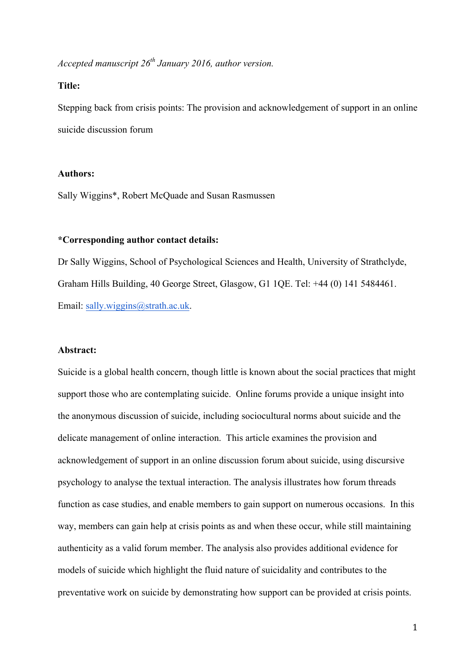*Accepted manuscript 26th January 2016, author version.* 

## **Title:**

Stepping back from crisis points: The provision and acknowledgement of support in an online suicide discussion forum

### **Authors:**

Sally Wiggins\*, Robert McQuade and Susan Rasmussen

# **\*Corresponding author contact details:**

Dr Sally Wiggins, School of Psychological Sciences and Health, University of Strathclyde, Graham Hills Building, 40 George Street, Glasgow, G1 1QE. Tel: +44 (0) 141 5484461. Email: sally.wiggins@strath.ac.uk.

## **Abstract:**

Suicide is a global health concern, though little is known about the social practices that might support those who are contemplating suicide. Online forums provide a unique insight into the anonymous discussion of suicide, including sociocultural norms about suicide and the delicate management of online interaction. This article examines the provision and acknowledgement of support in an online discussion forum about suicide, using discursive psychology to analyse the textual interaction. The analysis illustrates how forum threads function as case studies, and enable members to gain support on numerous occasions. In this way, members can gain help at crisis points as and when these occur, while still maintaining authenticity as a valid forum member. The analysis also provides additional evidence for models of suicide which highlight the fluid nature of suicidality and contributes to the preventative work on suicide by demonstrating how support can be provided at crisis points.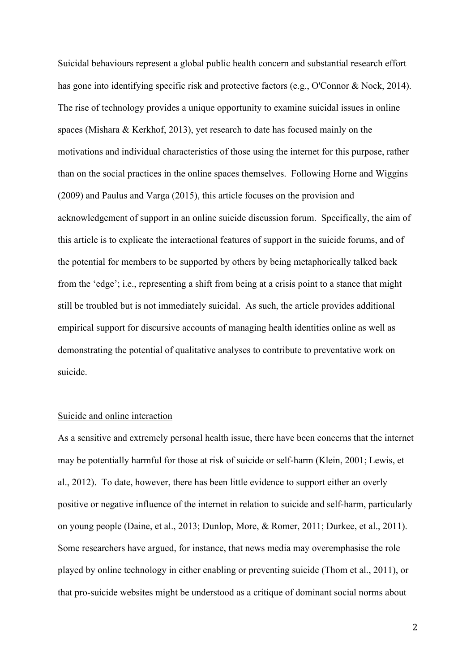Suicidal behaviours represent a global public health concern and substantial research effort has gone into identifying specific risk and protective factors (e.g., O'Connor & Nock, 2014). The rise of technology provides a unique opportunity to examine suicidal issues in online spaces (Mishara & Kerkhof, 2013), yet research to date has focused mainly on the motivations and individual characteristics of those using the internet for this purpose, rather than on the social practices in the online spaces themselves. Following Horne and Wiggins (2009) and Paulus and Varga (2015), this article focuses on the provision and acknowledgement of support in an online suicide discussion forum. Specifically, the aim of this article is to explicate the interactional features of support in the suicide forums, and of the potential for members to be supported by others by being metaphorically talked back from the 'edge'; i.e., representing a shift from being at a crisis point to a stance that might still be troubled but is not immediately suicidal. As such, the article provides additional empirical support for discursive accounts of managing health identities online as well as demonstrating the potential of qualitative analyses to contribute to preventative work on suicide.

## Suicide and online interaction

As a sensitive and extremely personal health issue, there have been concerns that the internet may be potentially harmful for those at risk of suicide or self-harm (Klein, 2001; Lewis, et al., 2012). To date, however, there has been little evidence to support either an overly positive or negative influence of the internet in relation to suicide and self-harm, particularly on young people (Daine, et al., 2013; Dunlop, More, & Romer, 2011; Durkee, et al., 2011). Some researchers have argued, for instance, that news media may overemphasise the role played by online technology in either enabling or preventing suicide (Thom et al., 2011), or that pro-suicide websites might be understood as a critique of dominant social norms about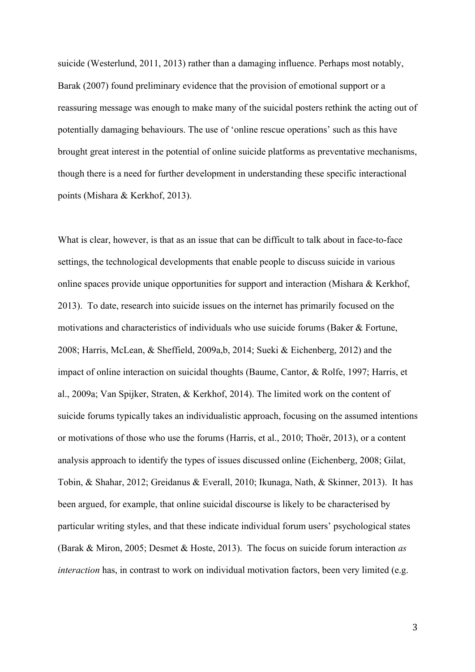suicide (Westerlund, 2011, 2013) rather than a damaging influence. Perhaps most notably, Barak (2007) found preliminary evidence that the provision of emotional support or a reassuring message was enough to make many of the suicidal posters rethink the acting out of potentially damaging behaviours. The use of 'online rescue operations' such as this have brought great interest in the potential of online suicide platforms as preventative mechanisms, though there is a need for further development in understanding these specific interactional points (Mishara & Kerkhof, 2013).

What is clear, however, is that as an issue that can be difficult to talk about in face-to-face settings, the technological developments that enable people to discuss suicide in various online spaces provide unique opportunities for support and interaction (Mishara & Kerkhof, 2013). To date, research into suicide issues on the internet has primarily focused on the motivations and characteristics of individuals who use suicide forums (Baker & Fortune, 2008; Harris, McLean, & Sheffield, 2009a,b, 2014; Sueki & Eichenberg, 2012) and the impact of online interaction on suicidal thoughts (Baume, Cantor, & Rolfe, 1997; Harris, et al., 2009a; Van Spijker, Straten, & Kerkhof, 2014). The limited work on the content of suicide forums typically takes an individualistic approach, focusing on the assumed intentions or motivations of those who use the forums (Harris, et al., 2010; Thoër, 2013), or a content analysis approach to identify the types of issues discussed online (Eichenberg, 2008; Gilat, Tobin, & Shahar, 2012; Greidanus & Everall, 2010; Ikunaga, Nath, & Skinner, 2013). It has been argued, for example, that online suicidal discourse is likely to be characterised by particular writing styles, and that these indicate individual forum users' psychological states (Barak & Miron, 2005; Desmet & Hoste, 2013). The focus on suicide forum interaction *as interaction* has, in contrast to work on individual motivation factors, been very limited (e.g.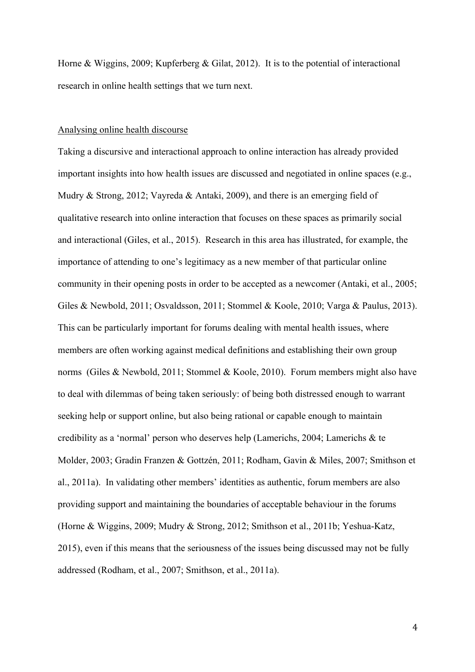Horne & Wiggins, 2009; Kupferberg & Gilat, 2012). It is to the potential of interactional research in online health settings that we turn next.

### Analysing online health discourse

Taking a discursive and interactional approach to online interaction has already provided important insights into how health issues are discussed and negotiated in online spaces (e.g., Mudry & Strong, 2012; Vayreda & Antaki, 2009), and there is an emerging field of qualitative research into online interaction that focuses on these spaces as primarily social and interactional (Giles, et al., 2015). Research in this area has illustrated, for example, the importance of attending to one's legitimacy as a new member of that particular online community in their opening posts in order to be accepted as a newcomer (Antaki, et al., 2005; Giles & Newbold, 2011; Osvaldsson, 2011; Stommel & Koole, 2010; Varga & Paulus, 2013). This can be particularly important for forums dealing with mental health issues, where members are often working against medical definitions and establishing their own group norms (Giles & Newbold, 2011; Stommel & Koole, 2010). Forum members might also have to deal with dilemmas of being taken seriously: of being both distressed enough to warrant seeking help or support online, but also being rational or capable enough to maintain credibility as a 'normal' person who deserves help (Lamerichs, 2004; Lamerichs & te Molder, 2003; Gradin Franzen & Gottzén, 2011; Rodham, Gavin & Miles, 2007; Smithson et al., 2011a). In validating other members' identities as authentic, forum members are also providing support and maintaining the boundaries of acceptable behaviour in the forums (Horne & Wiggins, 2009; Mudry & Strong, 2012; Smithson et al., 2011b; Yeshua-Katz, 2015), even if this means that the seriousness of the issues being discussed may not be fully addressed (Rodham, et al., 2007; Smithson, et al., 2011a).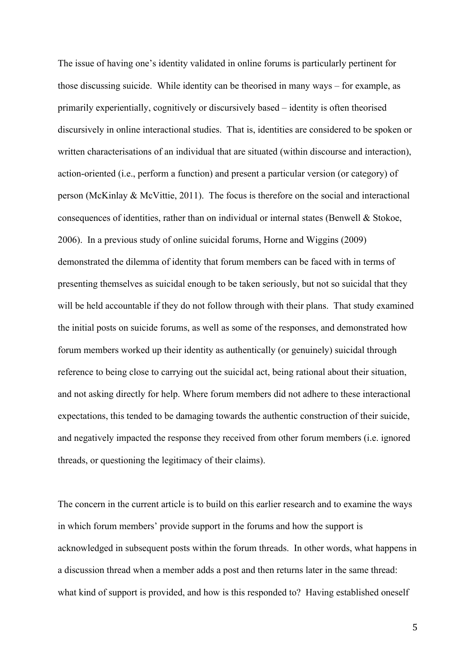The issue of having one's identity validated in online forums is particularly pertinent for those discussing suicide. While identity can be theorised in many ways – for example, as primarily experientially, cognitively or discursively based – identity is often theorised discursively in online interactional studies. That is, identities are considered to be spoken or written characterisations of an individual that are situated (within discourse and interaction), action-oriented (i.e., perform a function) and present a particular version (or category) of person (McKinlay & McVittie, 2011). The focus is therefore on the social and interactional consequences of identities, rather than on individual or internal states (Benwell & Stokoe, 2006). In a previous study of online suicidal forums, Horne and Wiggins (2009) demonstrated the dilemma of identity that forum members can be faced with in terms of presenting themselves as suicidal enough to be taken seriously, but not so suicidal that they will be held accountable if they do not follow through with their plans. That study examined the initial posts on suicide forums, as well as some of the responses, and demonstrated how forum members worked up their identity as authentically (or genuinely) suicidal through reference to being close to carrying out the suicidal act, being rational about their situation, and not asking directly for help. Where forum members did not adhere to these interactional expectations, this tended to be damaging towards the authentic construction of their suicide, and negatively impacted the response they received from other forum members (i.e. ignored threads, or questioning the legitimacy of their claims).

The concern in the current article is to build on this earlier research and to examine the ways in which forum members' provide support in the forums and how the support is acknowledged in subsequent posts within the forum threads. In other words, what happens in a discussion thread when a member adds a post and then returns later in the same thread: what kind of support is provided, and how is this responded to? Having established oneself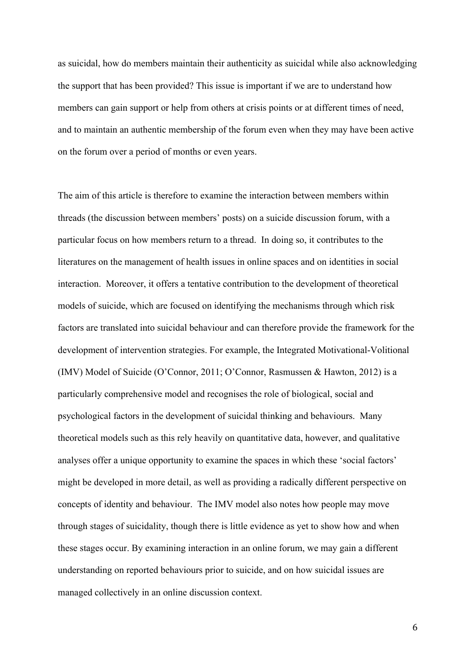as suicidal, how do members maintain their authenticity as suicidal while also acknowledging the support that has been provided? This issue is important if we are to understand how members can gain support or help from others at crisis points or at different times of need, and to maintain an authentic membership of the forum even when they may have been active on the forum over a period of months or even years.

The aim of this article is therefore to examine the interaction between members within threads (the discussion between members' posts) on a suicide discussion forum, with a particular focus on how members return to a thread. In doing so, it contributes to the literatures on the management of health issues in online spaces and on identities in social interaction. Moreover, it offers a tentative contribution to the development of theoretical models of suicide, which are focused on identifying the mechanisms through which risk factors are translated into suicidal behaviour and can therefore provide the framework for the development of intervention strategies. For example, the Integrated Motivational-Volitional (IMV) Model of Suicide (O'Connor, 2011; O'Connor, Rasmussen & Hawton, 2012) is a particularly comprehensive model and recognises the role of biological, social and psychological factors in the development of suicidal thinking and behaviours. Many theoretical models such as this rely heavily on quantitative data, however, and qualitative analyses offer a unique opportunity to examine the spaces in which these 'social factors' might be developed in more detail, as well as providing a radically different perspective on concepts of identity and behaviour. The IMV model also notes how people may move through stages of suicidality, though there is little evidence as yet to show how and when these stages occur. By examining interaction in an online forum, we may gain a different understanding on reported behaviours prior to suicide, and on how suicidal issues are managed collectively in an online discussion context.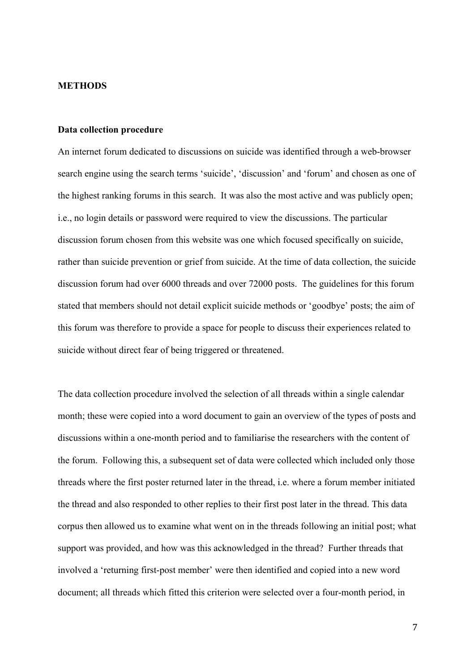### **METHODS**

### **Data collection procedure**

An internet forum dedicated to discussions on suicide was identified through a web-browser search engine using the search terms 'suicide', 'discussion' and 'forum' and chosen as one of the highest ranking forums in this search. It was also the most active and was publicly open; i.e., no login details or password were required to view the discussions. The particular discussion forum chosen from this website was one which focused specifically on suicide, rather than suicide prevention or grief from suicide. At the time of data collection, the suicide discussion forum had over 6000 threads and over 72000 posts. The guidelines for this forum stated that members should not detail explicit suicide methods or 'goodbye' posts; the aim of this forum was therefore to provide a space for people to discuss their experiences related to suicide without direct fear of being triggered or threatened.

The data collection procedure involved the selection of all threads within a single calendar month; these were copied into a word document to gain an overview of the types of posts and discussions within a one-month period and to familiarise the researchers with the content of the forum. Following this, a subsequent set of data were collected which included only those threads where the first poster returned later in the thread, i.e. where a forum member initiated the thread and also responded to other replies to their first post later in the thread. This data corpus then allowed us to examine what went on in the threads following an initial post; what support was provided, and how was this acknowledged in the thread? Further threads that involved a 'returning first-post member' were then identified and copied into a new word document; all threads which fitted this criterion were selected over a four-month period, in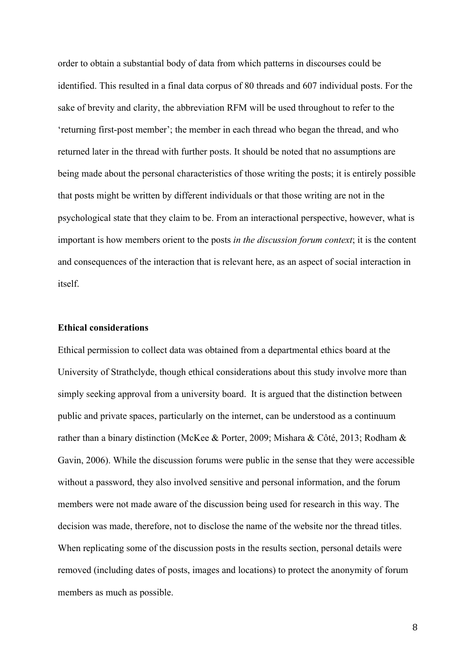order to obtain a substantial body of data from which patterns in discourses could be identified. This resulted in a final data corpus of 80 threads and 607 individual posts. For the sake of brevity and clarity, the abbreviation RFM will be used throughout to refer to the 'returning first-post member'; the member in each thread who began the thread, and who returned later in the thread with further posts. It should be noted that no assumptions are being made about the personal characteristics of those writing the posts; it is entirely possible that posts might be written by different individuals or that those writing are not in the psychological state that they claim to be. From an interactional perspective, however, what is important is how members orient to the posts *in the discussion forum context*; it is the content and consequences of the interaction that is relevant here, as an aspect of social interaction in itself.

# **Ethical considerations**

Ethical permission to collect data was obtained from a departmental ethics board at the University of Strathclyde, though ethical considerations about this study involve more than simply seeking approval from a university board. It is argued that the distinction between public and private spaces, particularly on the internet, can be understood as a continuum rather than a binary distinction (McKee & Porter, 2009; Mishara & Côté, 2013; Rodham & Gavin, 2006). While the discussion forums were public in the sense that they were accessible without a password, they also involved sensitive and personal information, and the forum members were not made aware of the discussion being used for research in this way. The decision was made, therefore, not to disclose the name of the website nor the thread titles. When replicating some of the discussion posts in the results section, personal details were removed (including dates of posts, images and locations) to protect the anonymity of forum members as much as possible.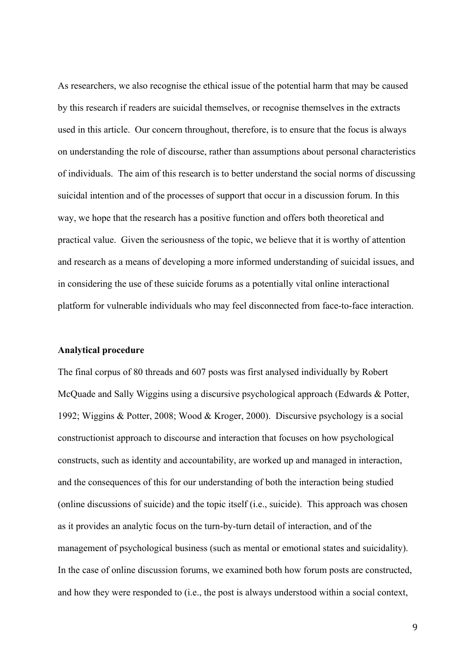As researchers, we also recognise the ethical issue of the potential harm that may be caused by this research if readers are suicidal themselves, or recognise themselves in the extracts used in this article. Our concern throughout, therefore, is to ensure that the focus is always on understanding the role of discourse, rather than assumptions about personal characteristics of individuals. The aim of this research is to better understand the social norms of discussing suicidal intention and of the processes of support that occur in a discussion forum. In this way, we hope that the research has a positive function and offers both theoretical and practical value. Given the seriousness of the topic, we believe that it is worthy of attention and research as a means of developing a more informed understanding of suicidal issues, and in considering the use of these suicide forums as a potentially vital online interactional platform for vulnerable individuals who may feel disconnected from face-to-face interaction.

## **Analytical procedure**

The final corpus of 80 threads and 607 posts was first analysed individually by Robert McQuade and Sally Wiggins using a discursive psychological approach (Edwards & Potter, 1992; Wiggins & Potter, 2008; Wood & Kroger, 2000). Discursive psychology is a social constructionist approach to discourse and interaction that focuses on how psychological constructs, such as identity and accountability, are worked up and managed in interaction, and the consequences of this for our understanding of both the interaction being studied (online discussions of suicide) and the topic itself (i.e., suicide). This approach was chosen as it provides an analytic focus on the turn-by-turn detail of interaction, and of the management of psychological business (such as mental or emotional states and suicidality). In the case of online discussion forums, we examined both how forum posts are constructed, and how they were responded to (i.e., the post is always understood within a social context,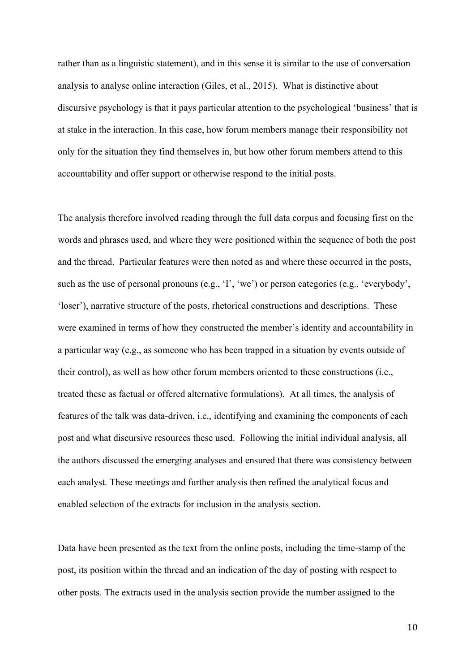rather than as a linguistic statement), and in this sense it is similar to the use of conversation analysis to analyse online interaction (Giles, et al., 2015). What is distinctive about discursive psychology is that it pays particular attention to the psychological 'business' that is at stake in the interaction. In this case, how forum members manage their responsibility not only for the situation they find themselves in, but how other forum members attend to this accountability and offer support or otherwise respond to the initial posts.

The analysis therefore involved reading through the full data corpus and focusing first on the words and phrases used, and where they were positioned within the sequence of both the post and the thread. Particular features were then noted as and where these occurred in the posts, such as the use of personal pronouns (e.g., 'I', 'we') or person categories (e.g., 'everybody', 'loser'), narrative structure of the posts, rhetorical constructions and descriptions. These were examined in terms of how they constructed the member's identity and accountability in a particular way (e.g., as someone who has been trapped in a situation by events outside of their control), as well as how other forum members oriented to these constructions (i.e., treated these as factual or offered alternative formulations). At all times, the analysis of features of the talk was data-driven, i.e., identifying and examining the components of each post and what discursive resources these used. Following the initial individual analysis, all the authors discussed the emerging analyses and ensured that there was consistency between each analyst. These meetings and further analysis then refined the analytical focus and enabled selection of the extracts for inclusion in the analysis section.

Data have been presented as the text from the online posts, including the time-stamp of the post, its position within the thread and an indication of the day of posting with respect to other posts. The extracts used in the analysis section provide the number assigned to the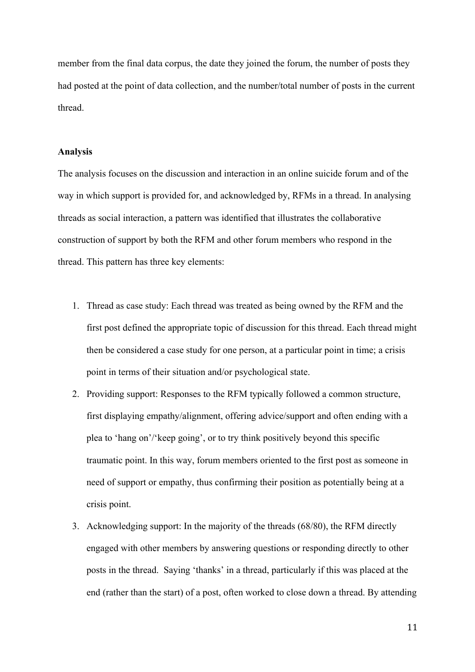member from the final data corpus, the date they joined the forum, the number of posts they had posted at the point of data collection, and the number/total number of posts in the current thread.

## **Analysis**

The analysis focuses on the discussion and interaction in an online suicide forum and of the way in which support is provided for, and acknowledged by, RFMs in a thread. In analysing threads as social interaction, a pattern was identified that illustrates the collaborative construction of support by both the RFM and other forum members who respond in the thread. This pattern has three key elements:

- 1. Thread as case study: Each thread was treated as being owned by the RFM and the first post defined the appropriate topic of discussion for this thread. Each thread might then be considered a case study for one person, at a particular point in time; a crisis point in terms of their situation and/or psychological state.
- 2. Providing support: Responses to the RFM typically followed a common structure, first displaying empathy/alignment, offering advice/support and often ending with a plea to 'hang on'/'keep going', or to try think positively beyond this specific traumatic point. In this way, forum members oriented to the first post as someone in need of support or empathy, thus confirming their position as potentially being at a crisis point.
- 3. Acknowledging support: In the majority of the threads (68/80), the RFM directly engaged with other members by answering questions or responding directly to other posts in the thread. Saying 'thanks' in a thread, particularly if this was placed at the end (rather than the start) of a post, often worked to close down a thread. By attending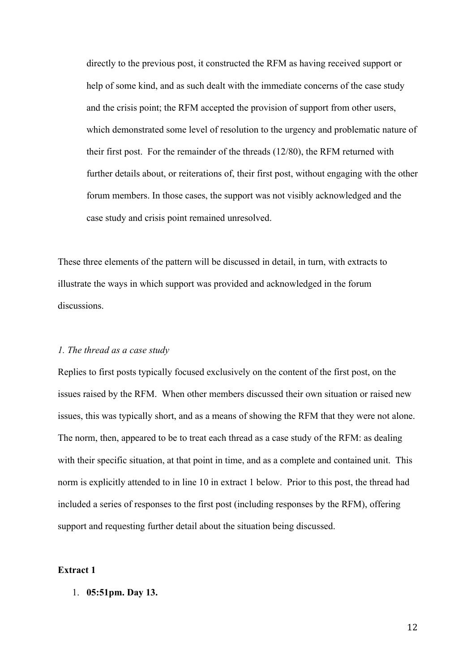directly to the previous post, it constructed the RFM as having received support or help of some kind, and as such dealt with the immediate concerns of the case study and the crisis point; the RFM accepted the provision of support from other users, which demonstrated some level of resolution to the urgency and problematic nature of their first post. For the remainder of the threads (12/80), the RFM returned with further details about, or reiterations of, their first post, without engaging with the other forum members. In those cases, the support was not visibly acknowledged and the case study and crisis point remained unresolved.

These three elements of the pattern will be discussed in detail, in turn, with extracts to illustrate the ways in which support was provided and acknowledged in the forum discussions.

### *1. The thread as a case study*

Replies to first posts typically focused exclusively on the content of the first post, on the issues raised by the RFM. When other members discussed their own situation or raised new issues, this was typically short, and as a means of showing the RFM that they were not alone. The norm, then, appeared to be to treat each thread as a case study of the RFM: as dealing with their specific situation, at that point in time, and as a complete and contained unit. This norm is explicitly attended to in line 10 in extract 1 below. Prior to this post, the thread had included a series of responses to the first post (including responses by the RFM), offering support and requesting further detail about the situation being discussed.

## **Extract 1**

1. **05:51pm. Day 13.**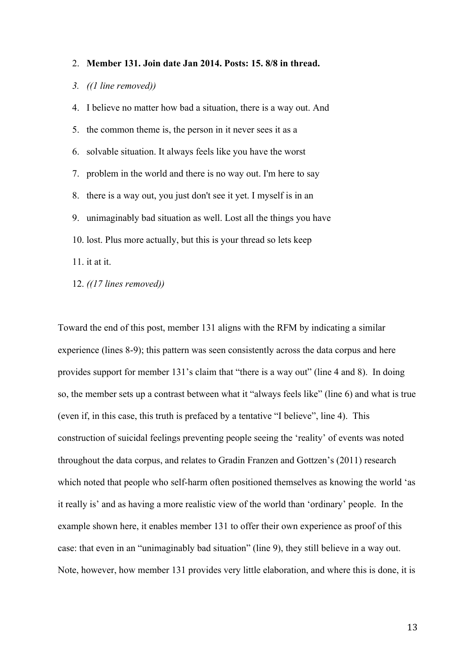#### 2. **Member 131. Join date Jan 2014. Posts: 15. 8/8 in thread.**

## *3. ((1 line removed))*

4. I believe no matter how bad a situation, there is a way out. And 5. the common theme is, the person in it never sees it as a 6. solvable situation. It always feels like you have the worst 7. problem in the world and there is no way out. I'm here to say 8. there is a way out, you just don't see it yet. I myself is in an 9. unimaginably bad situation as well. Lost all the things you have 10. lost. Plus more actually, but this is your thread so lets keep 11. it at it.

12. *((17 lines removed))*

Toward the end of this post, member 131 aligns with the RFM by indicating a similar experience (lines 8-9); this pattern was seen consistently across the data corpus and here provides support for member 131's claim that "there is a way out" (line 4 and 8). In doing so, the member sets up a contrast between what it "always feels like" (line 6) and what is true (even if, in this case, this truth is prefaced by a tentative "I believe", line 4). This construction of suicidal feelings preventing people seeing the 'reality' of events was noted throughout the data corpus, and relates to Gradin Franzen and Gottzen's (2011) research which noted that people who self-harm often positioned themselves as knowing the world 'as it really is' and as having a more realistic view of the world than 'ordinary' people. In the example shown here, it enables member 131 to offer their own experience as proof of this case: that even in an "unimaginably bad situation" (line 9), they still believe in a way out. Note, however, how member 131 provides very little elaboration, and where this is done, it is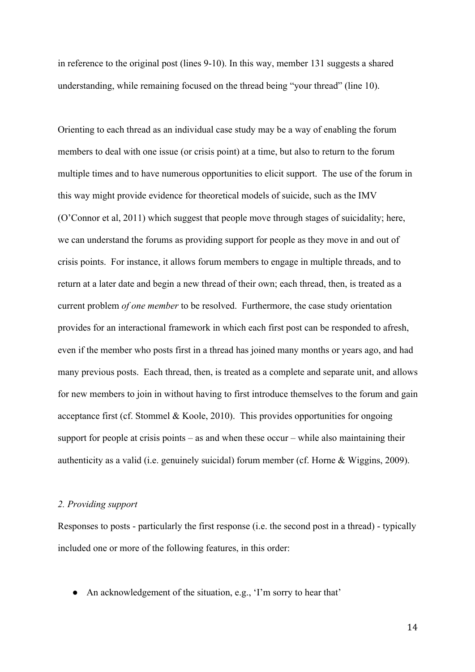in reference to the original post (lines 9-10). In this way, member 131 suggests a shared understanding, while remaining focused on the thread being "your thread" (line 10).

Orienting to each thread as an individual case study may be a way of enabling the forum members to deal with one issue (or crisis point) at a time, but also to return to the forum multiple times and to have numerous opportunities to elicit support. The use of the forum in this way might provide evidence for theoretical models of suicide, such as the IMV (O'Connor et al, 2011) which suggest that people move through stages of suicidality; here, we can understand the forums as providing support for people as they move in and out of crisis points. For instance, it allows forum members to engage in multiple threads, and to return at a later date and begin a new thread of their own; each thread, then, is treated as a current problem *of one member* to be resolved. Furthermore, the case study orientation provides for an interactional framework in which each first post can be responded to afresh, even if the member who posts first in a thread has joined many months or years ago, and had many previous posts. Each thread, then, is treated as a complete and separate unit, and allows for new members to join in without having to first introduce themselves to the forum and gain acceptance first (cf. Stommel & Koole, 2010). This provides opportunities for ongoing support for people at crisis points – as and when these occur – while also maintaining their authenticity as a valid (i.e. genuinely suicidal) forum member (cf. Horne & Wiggins, 2009).

## *2. Providing support*

Responses to posts - particularly the first response (i.e. the second post in a thread) - typically included one or more of the following features, in this order:

• An acknowledgement of the situation, e.g., 'I'm sorry to hear that'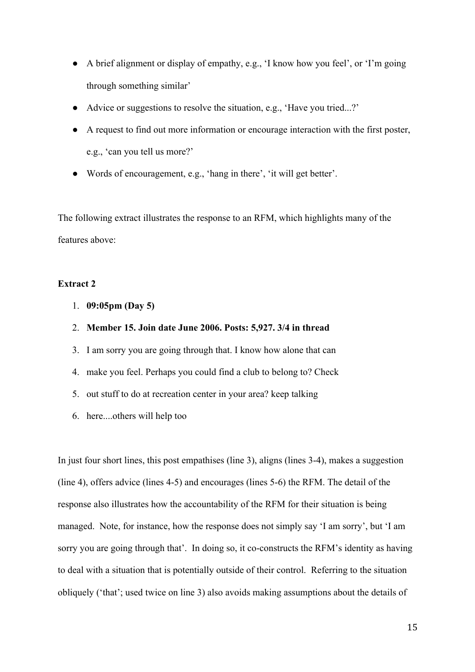- A brief alignment or display of empathy, e.g., 'I know how you feel', or 'I'm going through something similar'
- Advice or suggestions to resolve the situation, e.g., 'Have you tried...?'
- A request to find out more information or encourage interaction with the first poster, e.g., 'can you tell us more?'
- Words of encouragement, e.g., 'hang in there', 'it will get better'.

The following extract illustrates the response to an RFM, which highlights many of the features above:

# **Extract 2**

- 1. **09:05pm (Day 5)**
- 2. **Member 15. Join date June 2006. Posts: 5,927. 3/4 in thread**
- 3. I am sorry you are going through that. I know how alone that can
- 4. make you feel. Perhaps you could find a club to belong to? Check
- 5. out stuff to do at recreation center in your area? keep talking
- 6. here....others will help too

In just four short lines, this post empathises (line 3), aligns (lines 3-4), makes a suggestion (line 4), offers advice (lines 4-5) and encourages (lines 5-6) the RFM. The detail of the response also illustrates how the accountability of the RFM for their situation is being managed. Note, for instance, how the response does not simply say 'I am sorry', but 'I am sorry you are going through that'. In doing so, it co-constructs the RFM's identity as having to deal with a situation that is potentially outside of their control. Referring to the situation obliquely ('that'; used twice on line 3) also avoids making assumptions about the details of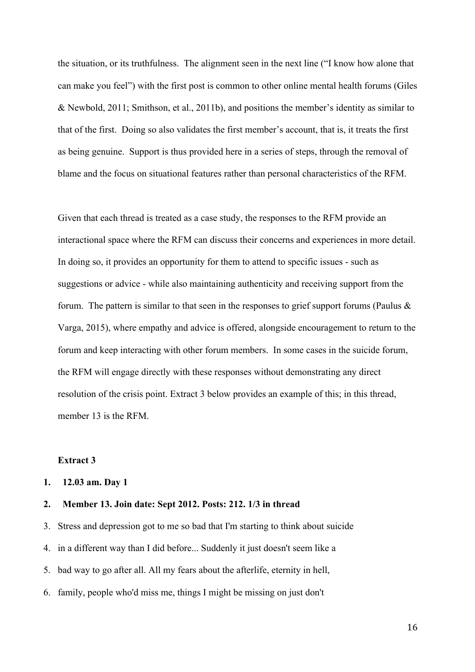the situation, or its truthfulness. The alignment seen in the next line ("I know how alone that can make you feel") with the first post is common to other online mental health forums (Giles & Newbold, 2011; Smithson, et al., 2011b), and positions the member's identity as similar to that of the first. Doing so also validates the first member's account, that is, it treats the first as being genuine. Support is thus provided here in a series of steps, through the removal of blame and the focus on situational features rather than personal characteristics of the RFM.

Given that each thread is treated as a case study, the responses to the RFM provide an interactional space where the RFM can discuss their concerns and experiences in more detail. In doing so, it provides an opportunity for them to attend to specific issues - such as suggestions or advice - while also maintaining authenticity and receiving support from the forum. The pattern is similar to that seen in the responses to grief support forums (Paulus  $\&$ Varga, 2015), where empathy and advice is offered, alongside encouragement to return to the forum and keep interacting with other forum members. In some cases in the suicide forum, the RFM will engage directly with these responses without demonstrating any direct resolution of the crisis point. Extract 3 below provides an example of this; in this thread, member 13 is the RFM.

# **Extract 3**

## **1. 12.03 am. Day 1**

## **2. Member 13. Join date: Sept 2012. Posts: 212. 1/3 in thread**

- 3. Stress and depression got to me so bad that I'm starting to think about suicide
- 4. in a different way than I did before... Suddenly it just doesn't seem like a
- 5. bad way to go after all. All my fears about the afterlife, eternity in hell,
- 6. family, people who'd miss me, things I might be missing on just don't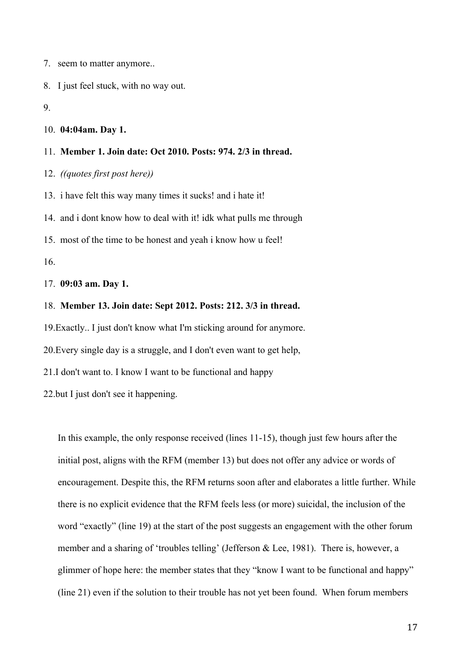7. seem to matter anymore..

8. I just feel stuck, with no way out.

9.

#### 10. **04:04am. Day 1.**

#### 11. **Member 1. Join date: Oct 2010. Posts: 974. 2/3 in thread.**

12. *((quotes first post here))*

13. i have felt this way many times it sucks! and i hate it!

14. and i dont know how to deal with it! idk what pulls me through

15. most of the time to be honest and yeah i know how u feel!

16.

17. **09:03 am. Day 1.**

### 18. **Member 13. Join date: Sept 2012. Posts: 212. 3/3 in thread.**

19.Exactly.. I just don't know what I'm sticking around for anymore.

20.Every single day is a struggle, and I don't even want to get help,

21.I don't want to. I know I want to be functional and happy

22.but I just don't see it happening.

In this example, the only response received (lines 11-15), though just few hours after the initial post, aligns with the RFM (member 13) but does not offer any advice or words of encouragement. Despite this, the RFM returns soon after and elaborates a little further. While there is no explicit evidence that the RFM feels less (or more) suicidal, the inclusion of the word "exactly" (line 19) at the start of the post suggests an engagement with the other forum member and a sharing of 'troubles telling' (Jefferson & Lee, 1981). There is, however, a glimmer of hope here: the member states that they "know I want to be functional and happy" (line 21) even if the solution to their trouble has not yet been found. When forum members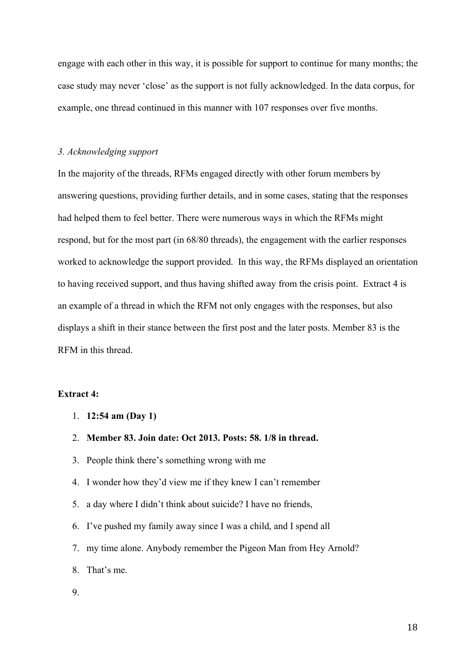engage with each other in this way, it is possible for support to continue for many months; the case study may never 'close' as the support is not fully acknowledged. In the data corpus, for example, one thread continued in this manner with 107 responses over five months.

## *3. Acknowledging support*

In the majority of the threads, RFMs engaged directly with other forum members by answering questions, providing further details, and in some cases, stating that the responses had helped them to feel better. There were numerous ways in which the RFMs might respond, but for the most part (in 68/80 threads), the engagement with the earlier responses worked to acknowledge the support provided. In this way, the RFMs displayed an orientation to having received support, and thus having shifted away from the crisis point. Extract 4 is an example of a thread in which the RFM not only engages with the responses, but also displays a shift in their stance between the first post and the later posts. Member 83 is the RFM in this thread.

## **Extract 4:**

- 1. **12:54 am (Day 1)**
- 2. **Member 83. Join date: Oct 2013. Posts: 58. 1/8 in thread.**
- 3. People think there's something wrong with me
- 4. I wonder how they'd view me if they knew I can't remember
- 5. a day where I didn't think about suicide? I have no friends,
- 6. I've pushed my family away since I was a child, and I spend all
- 7. my time alone. Anybody remember the Pigeon Man from Hey Arnold?
- 8. That's me.
- 9.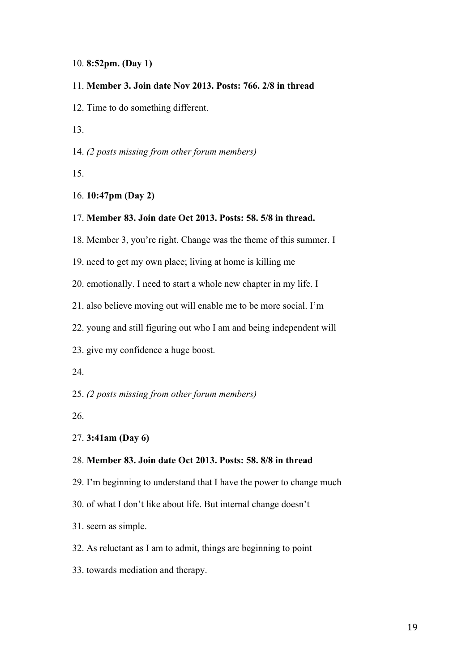## 10. **8:52pm. (Day 1)**

## 11. **Member 3. Join date Nov 2013. Posts: 766. 2/8 in thread**

12. Time to do something different.

13.

14. *(2 posts missing from other forum members)*

15.

## 16. **10:47pm (Day 2)**

# 17. **Member 83. Join date Oct 2013. Posts: 58. 5/8 in thread.**

18. Member 3, you're right. Change was the theme of this summer. I

- 19. need to get my own place; living at home is killing me
- 20. emotionally. I need to start a whole new chapter in my life. I

21. also believe moving out will enable me to be more social. I'm

- 22. young and still figuring out who I am and being independent will
- 23. give my confidence a huge boost.
- 24.

25. *(2 posts missing from other forum members)*

26.

## 27. **3:41am (Day 6)**

## 28. **Member 83. Join date Oct 2013. Posts: 58. 8/8 in thread**

- 29. I'm beginning to understand that I have the power to change much
- 30. of what I don't like about life. But internal change doesn't
- 31. seem as simple.
- 32. As reluctant as I am to admit, things are beginning to point
- 33. towards mediation and therapy.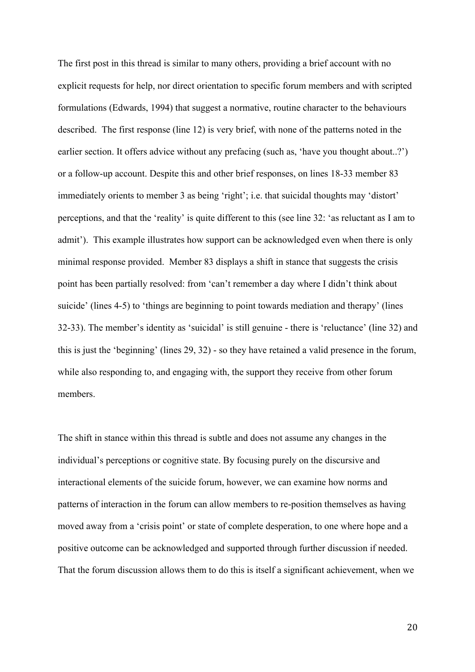The first post in this thread is similar to many others, providing a brief account with no explicit requests for help, nor direct orientation to specific forum members and with scripted formulations (Edwards, 1994) that suggest a normative, routine character to the behaviours described. The first response (line 12) is very brief, with none of the patterns noted in the earlier section. It offers advice without any prefacing (such as, 'have you thought about..?') or a follow-up account. Despite this and other brief responses, on lines 18-33 member 83 immediately orients to member 3 as being 'right'; i.e. that suicidal thoughts may 'distort' perceptions, and that the 'reality' is quite different to this (see line 32: 'as reluctant as I am to admit'). This example illustrates how support can be acknowledged even when there is only minimal response provided. Member 83 displays a shift in stance that suggests the crisis point has been partially resolved: from 'can't remember a day where I didn't think about suicide' (lines 4-5) to 'things are beginning to point towards mediation and therapy' (lines 32-33). The member's identity as 'suicidal' is still genuine - there is 'reluctance' (line 32) and this is just the 'beginning' (lines 29, 32) - so they have retained a valid presence in the forum, while also responding to, and engaging with, the support they receive from other forum members.

The shift in stance within this thread is subtle and does not assume any changes in the individual's perceptions or cognitive state. By focusing purely on the discursive and interactional elements of the suicide forum, however, we can examine how norms and patterns of interaction in the forum can allow members to re-position themselves as having moved away from a 'crisis point' or state of complete desperation, to one where hope and a positive outcome can be acknowledged and supported through further discussion if needed. That the forum discussion allows them to do this is itself a significant achievement, when we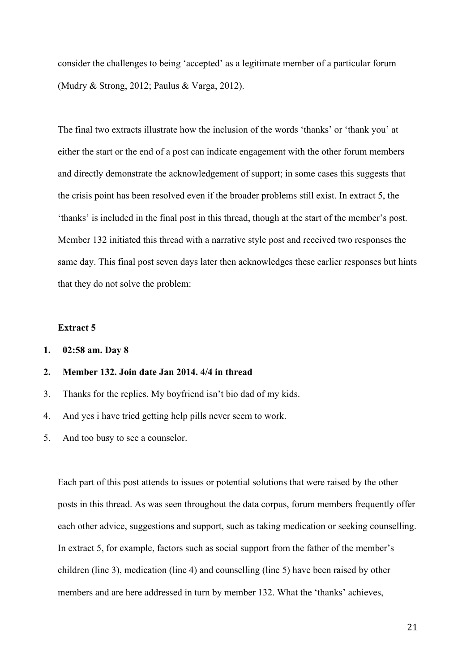consider the challenges to being 'accepted' as a legitimate member of a particular forum (Mudry & Strong, 2012; Paulus & Varga, 2012).

The final two extracts illustrate how the inclusion of the words 'thanks' or 'thank you' at either the start or the end of a post can indicate engagement with the other forum members and directly demonstrate the acknowledgement of support; in some cases this suggests that the crisis point has been resolved even if the broader problems still exist. In extract 5, the 'thanks' is included in the final post in this thread, though at the start of the member's post. Member 132 initiated this thread with a narrative style post and received two responses the same day. This final post seven days later then acknowledges these earlier responses but hints that they do not solve the problem:

# **Extract 5**

**1. 02:58 am. Day 8**

# **2. Member 132. Join date Jan 2014. 4/4 in thread**

- 3. Thanks for the replies. My boyfriend isn't bio dad of my kids.
- 4. And yes i have tried getting help pills never seem to work.
- 5. And too busy to see a counselor.

Each part of this post attends to issues or potential solutions that were raised by the other posts in this thread. As was seen throughout the data corpus, forum members frequently offer each other advice, suggestions and support, such as taking medication or seeking counselling. In extract 5, for example, factors such as social support from the father of the member's children (line 3), medication (line 4) and counselling (line 5) have been raised by other members and are here addressed in turn by member 132. What the 'thanks' achieves,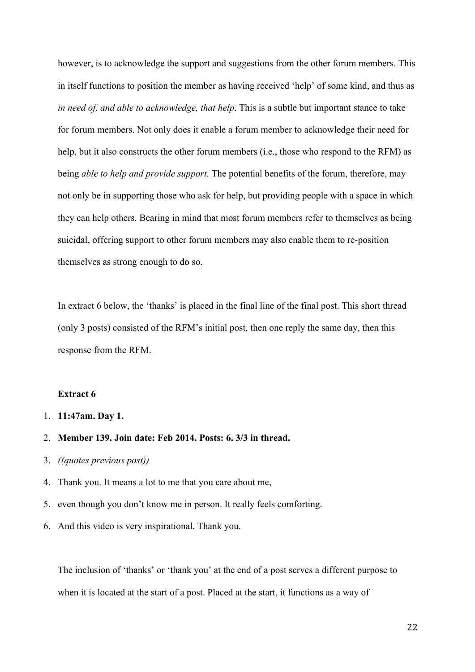however, is to acknowledge the support and suggestions from the other forum members. This in itself functions to position the member as having received 'help' of some kind, and thus as *in need of, and able to acknowledge, that help*. This is a subtle but important stance to take for forum members. Not only does it enable a forum member to acknowledge their need for help, but it also constructs the other forum members (i.e., those who respond to the RFM) as being *able to help and provide support*. The potential benefits of the forum, therefore, may not only be in supporting those who ask for help, but providing people with a space in which they can help others. Bearing in mind that most forum members refer to themselves as being suicidal, offering support to other forum members may also enable them to re-position themselves as strong enough to do so.

In extract 6 below, the 'thanks' is placed in the final line of the final post. This short thread (only 3 posts) consisted of the RFM's initial post, then one reply the same day, then this response from the RFM.

## **Extract 6**

- 1. **11:47am. Day 1.**
- 2. **Member 139. Join date: Feb 2014. Posts: 6. 3/3 in thread.**
- 3. *((quotes previous post))*
- 4. Thank you. It means a lot to me that you care about me,
- 5. even though you don't know me in person. It really feels comforting.
- 6. And this video is very inspirational. Thank you.

The inclusion of 'thanks' or 'thank you' at the end of a post serves a different purpose to when it is located at the start of a post. Placed at the start, it functions as a way of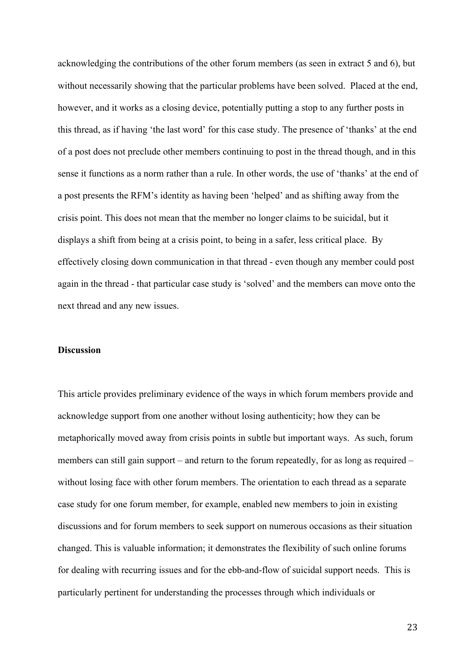acknowledging the contributions of the other forum members (as seen in extract 5 and 6), but without necessarily showing that the particular problems have been solved. Placed at the end, however, and it works as a closing device, potentially putting a stop to any further posts in this thread, as if having 'the last word' for this case study. The presence of 'thanks' at the end of a post does not preclude other members continuing to post in the thread though, and in this sense it functions as a norm rather than a rule. In other words, the use of 'thanks' at the end of a post presents the RFM's identity as having been 'helped' and as shifting away from the crisis point. This does not mean that the member no longer claims to be suicidal, but it displays a shift from being at a crisis point, to being in a safer, less critical place. By effectively closing down communication in that thread - even though any member could post again in the thread - that particular case study is 'solved' and the members can move onto the next thread and any new issues.

### **Discussion**

This article provides preliminary evidence of the ways in which forum members provide and acknowledge support from one another without losing authenticity; how they can be metaphorically moved away from crisis points in subtle but important ways. As such, forum members can still gain support – and return to the forum repeatedly, for as long as required – without losing face with other forum members. The orientation to each thread as a separate case study for one forum member, for example, enabled new members to join in existing discussions and for forum members to seek support on numerous occasions as their situation changed. This is valuable information; it demonstrates the flexibility of such online forums for dealing with recurring issues and for the ebb-and-flow of suicidal support needs. This is particularly pertinent for understanding the processes through which individuals or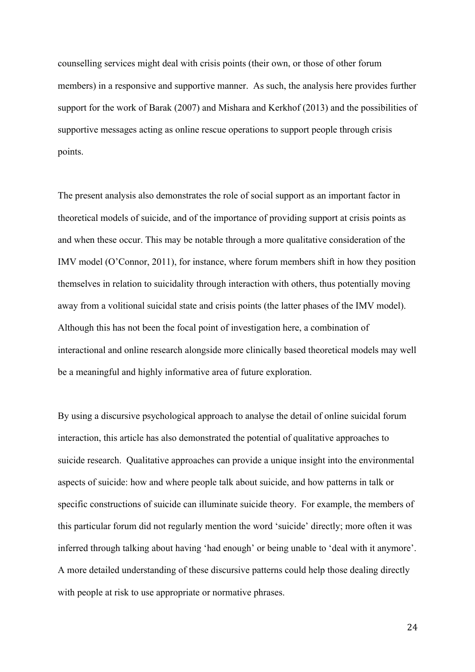counselling services might deal with crisis points (their own, or those of other forum members) in a responsive and supportive manner. As such, the analysis here provides further support for the work of Barak (2007) and Mishara and Kerkhof (2013) and the possibilities of supportive messages acting as online rescue operations to support people through crisis points.

The present analysis also demonstrates the role of social support as an important factor in theoretical models of suicide, and of the importance of providing support at crisis points as and when these occur. This may be notable through a more qualitative consideration of the IMV model (O'Connor, 2011), for instance, where forum members shift in how they position themselves in relation to suicidality through interaction with others, thus potentially moving away from a volitional suicidal state and crisis points (the latter phases of the IMV model). Although this has not been the focal point of investigation here, a combination of interactional and online research alongside more clinically based theoretical models may well be a meaningful and highly informative area of future exploration.

By using a discursive psychological approach to analyse the detail of online suicidal forum interaction, this article has also demonstrated the potential of qualitative approaches to suicide research. Qualitative approaches can provide a unique insight into the environmental aspects of suicide: how and where people talk about suicide, and how patterns in talk or specific constructions of suicide can illuminate suicide theory. For example, the members of this particular forum did not regularly mention the word 'suicide' directly; more often it was inferred through talking about having 'had enough' or being unable to 'deal with it anymore'. A more detailed understanding of these discursive patterns could help those dealing directly with people at risk to use appropriate or normative phrases.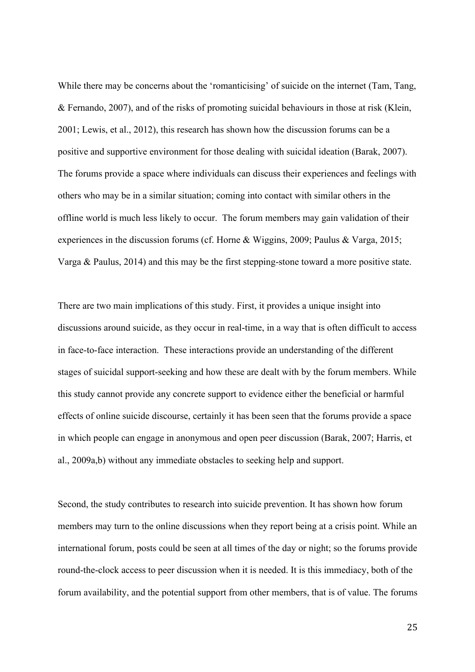While there may be concerns about the 'romanticising' of suicide on the internet (Tam, Tang, & Fernando, 2007), and of the risks of promoting suicidal behaviours in those at risk (Klein, 2001; Lewis, et al., 2012), this research has shown how the discussion forums can be a positive and supportive environment for those dealing with suicidal ideation (Barak, 2007). The forums provide a space where individuals can discuss their experiences and feelings with others who may be in a similar situation; coming into contact with similar others in the offline world is much less likely to occur. The forum members may gain validation of their experiences in the discussion forums (cf. Horne & Wiggins, 2009; Paulus & Varga, 2015; Varga & Paulus, 2014) and this may be the first stepping-stone toward a more positive state.

There are two main implications of this study. First, it provides a unique insight into discussions around suicide, as they occur in real-time, in a way that is often difficult to access in face-to-face interaction. These interactions provide an understanding of the different stages of suicidal support-seeking and how these are dealt with by the forum members. While this study cannot provide any concrete support to evidence either the beneficial or harmful effects of online suicide discourse, certainly it has been seen that the forums provide a space in which people can engage in anonymous and open peer discussion (Barak, 2007; Harris, et al., 2009a,b) without any immediate obstacles to seeking help and support.

Second, the study contributes to research into suicide prevention. It has shown how forum members may turn to the online discussions when they report being at a crisis point. While an international forum, posts could be seen at all times of the day or night; so the forums provide round-the-clock access to peer discussion when it is needed. It is this immediacy, both of the forum availability, and the potential support from other members, that is of value. The forums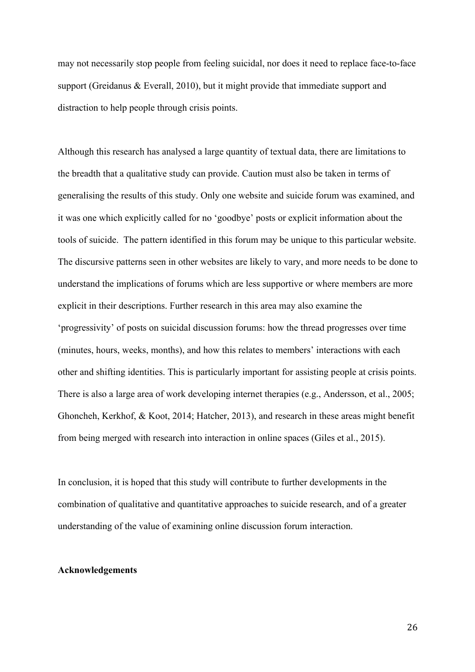may not necessarily stop people from feeling suicidal, nor does it need to replace face-to-face support (Greidanus & Everall, 2010), but it might provide that immediate support and distraction to help people through crisis points.

Although this research has analysed a large quantity of textual data, there are limitations to the breadth that a qualitative study can provide. Caution must also be taken in terms of generalising the results of this study. Only one website and suicide forum was examined, and it was one which explicitly called for no 'goodbye' posts or explicit information about the tools of suicide. The pattern identified in this forum may be unique to this particular website. The discursive patterns seen in other websites are likely to vary, and more needs to be done to understand the implications of forums which are less supportive or where members are more explicit in their descriptions. Further research in this area may also examine the 'progressivity' of posts on suicidal discussion forums: how the thread progresses over time (minutes, hours, weeks, months), and how this relates to members' interactions with each other and shifting identities. This is particularly important for assisting people at crisis points. There is also a large area of work developing internet therapies (e.g., Andersson, et al., 2005; Ghoncheh, Kerkhof, & Koot, 2014; Hatcher, 2013), and research in these areas might benefit from being merged with research into interaction in online spaces (Giles et al., 2015).

In conclusion, it is hoped that this study will contribute to further developments in the combination of qualitative and quantitative approaches to suicide research, and of a greater understanding of the value of examining online discussion forum interaction.

### **Acknowledgements**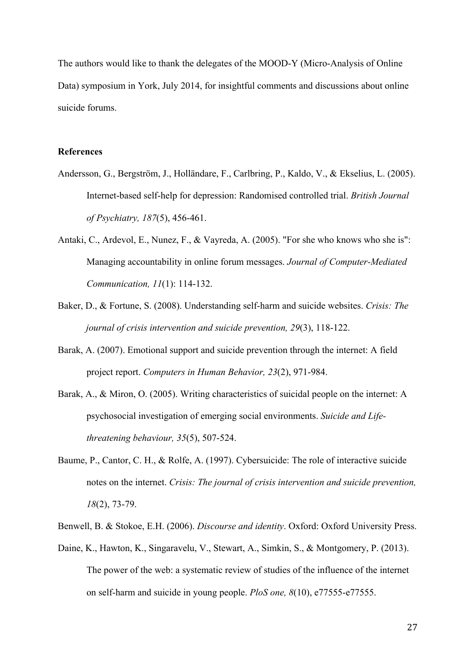The authors would like to thank the delegates of the MOOD-Y (Micro-Analysis of Online Data) symposium in York, July 2014, for insightful comments and discussions about online suicide forums.

## **References**

- Andersson, G., Bergström, J., Holländare, F., Carlbring, P., Kaldo, V., & Ekselius, L. (2005). Internet-based self-help for depression: Randomised controlled trial. *British Journal of Psychiatry, 187*(5), 456-461.
- Antaki, C., Ardevol, E., Nunez, F., & Vayreda, A. (2005). "For she who knows who she is": Managing accountability in online forum messages. *Journal of Computer-Mediated Communication, 11*(1): 114-132.
- Baker, D., & Fortune, S. (2008). Understanding self-harm and suicide websites. *Crisis: The journal of crisis intervention and suicide prevention, 29*(3), 118-122.
- Barak, A. (2007). Emotional support and suicide prevention through the internet: A field project report. *Computers in Human Behavior, 23*(2), 971-984.
- Barak, A., & Miron, O. (2005). Writing characteristics of suicidal people on the internet: A psychosocial investigation of emerging social environments. *Suicide and Lifethreatening behaviour, 35*(5), 507-524.
- Baume, P., Cantor, C. H., & Rolfe, A. (1997). Cybersuicide: The role of interactive suicide notes on the internet. *Crisis: The journal of crisis intervention and suicide prevention, 18*(2), 73-79.
- Benwell, B. & Stokoe, E.H. (2006). *Discourse and identity*. Oxford: Oxford University Press.
- Daine, K., Hawton, K., Singaravelu, V., Stewart, A., Simkin, S., & Montgomery, P. (2013). The power of the web: a systematic review of studies of the influence of the internet on self-harm and suicide in young people. *PloS one, 8*(10), e77555-e77555.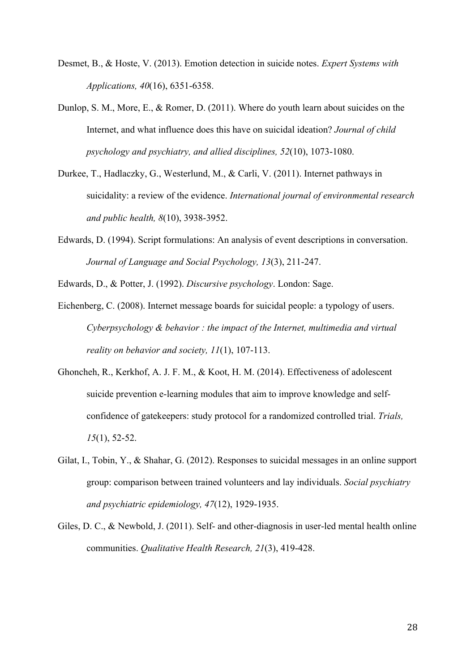- Desmet, B., & Hoste, V. (2013). Emotion detection in suicide notes. *Expert Systems with Applications, 40*(16), 6351-6358.
- Dunlop, S. M., More, E., & Romer, D. (2011). Where do youth learn about suicides on the Internet, and what influence does this have on suicidal ideation? *Journal of child psychology and psychiatry, and allied disciplines, 52*(10), 1073-1080.
- Durkee, T., Hadlaczky, G., Westerlund, M., & Carli, V. (2011). Internet pathways in suicidality: a review of the evidence. *International journal of environmental research and public health, 8*(10), 3938-3952.
- Edwards, D. (1994). Script formulations: An analysis of event descriptions in conversation. *Journal of Language and Social Psychology, 13*(3), 211-247.
- Edwards, D., & Potter, J. (1992). *Discursive psychology*. London: Sage.
- Eichenberg, C. (2008). Internet message boards for suicidal people: a typology of users. *Cyberpsychology & behavior : the impact of the Internet, multimedia and virtual reality on behavior and society, 11*(1), 107-113.
- Ghoncheh, R., Kerkhof, A. J. F. M., & Koot, H. M. (2014). Effectiveness of adolescent suicide prevention e-learning modules that aim to improve knowledge and selfconfidence of gatekeepers: study protocol for a randomized controlled trial. *Trials, 15*(1), 52-52.
- Gilat, I., Tobin, Y., & Shahar, G. (2012). Responses to suicidal messages in an online support group: comparison between trained volunteers and lay individuals. *Social psychiatry and psychiatric epidemiology, 47*(12), 1929-1935.
- Giles, D. C., & Newbold, J. (2011). Self- and other-diagnosis in user-led mental health online communities. *Qualitative Health Research, 21*(3), 419-428.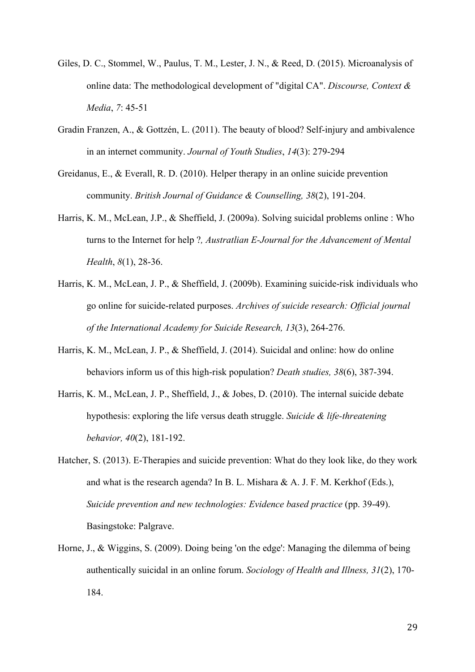- Giles, D. C., Stommel, W., Paulus, T. M., Lester, J. N., & Reed, D. (2015). Microanalysis of online data: The methodological development of "digital CA". *Discourse, Context & Media*, *7*: 45-51
- Gradin Franzen, A., & Gottzén, L. (2011). The beauty of blood? Self-injury and ambivalence in an internet community. *Journal of Youth Studies*, *14*(3): 279-294
- Greidanus, E., & Everall, R. D. (2010). Helper therapy in an online suicide prevention community. *British Journal of Guidance & Counselling, 38*(2), 191-204.
- Harris, K. M., McLean, J.P., & Sheffield, J. (2009a). Solving suicidal problems online : Who turns to the Internet for help ?*, Austratlian E-Journal for the Advancement of Mental Health*, *8*(1), 28-36.
- Harris, K. M., McLean, J. P., & Sheffield, J. (2009b). Examining suicide-risk individuals who go online for suicide-related purposes. *Archives of suicide research: Official journal of the International Academy for Suicide Research, 13*(3), 264-276.
- Harris, K. M., McLean, J. P., & Sheffield, J. (2014). Suicidal and online: how do online behaviors inform us of this high-risk population? *Death studies, 38*(6), 387-394.
- Harris, K. M., McLean, J. P., Sheffield, J., & Jobes, D. (2010). The internal suicide debate hypothesis: exploring the life versus death struggle. *Suicide & life-threatening behavior, 40*(2), 181-192.
- Hatcher, S. (2013). E-Therapies and suicide prevention: What do they look like, do they work and what is the research agenda? In B. L. Mishara & A. J. F. M. Kerkhof (Eds.), *Suicide prevention and new technologies: Evidence based practice* (pp. 39-49). Basingstoke: Palgrave.
- Horne, J., & Wiggins, S. (2009). Doing being 'on the edge': Managing the dilemma of being authentically suicidal in an online forum. *Sociology of Health and Illness, 31*(2), 170- 184.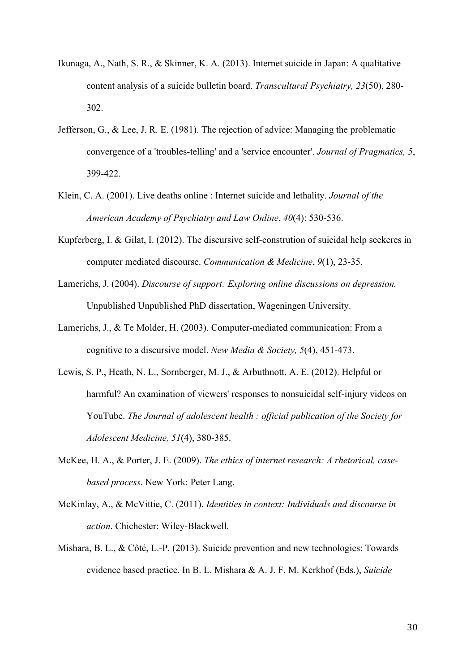- Ikunaga, A., Nath, S. R., & Skinner, K. A. (2013). Internet suicide in Japan: A qualitative content analysis of a suicide bulletin board. *Transcultural Psychiatry, 23*(50), 280- 302.
- Jefferson, G., & Lee, J. R. E. (1981). The rejection of advice: Managing the problematic convergence of a 'troubles-telling' and a 'service encounter'. *Journal of Pragmatics, 5*, 399-422.
- Klein, C. A. (2001). Live deaths online : Internet suicide and lethality. *Journal of the American Academy of Psychiatry and Law Online*, *40*(4): 530-536.
- Kupferberg, I. & Gilat, I. (2012). The discursive self-constrution of suicidal help seekeres in computer mediated discourse. *Communication & Medicine*, *9*(1), 23-35.
- Lamerichs, J. (2004). *Discourse of support: Exploring online discussions on depression.* Unpublished Unpublished PhD dissertation, Wageningen University.
- Lamerichs, J., & Te Molder, H. (2003). Computer-mediated communication: From a cognitive to a discursive model. *New Media & Society, 5*(4), 451-473.
- Lewis, S. P., Heath, N. L., Sornberger, M. J., & Arbuthnott, A. E. (2012). Helpful or harmful? An examination of viewers' responses to nonsuicidal self-injury videos on YouTube. *The Journal of adolescent health : official publication of the Society for Adolescent Medicine, 51*(4), 380-385.
- McKee, H. A., & Porter, J. E. (2009). *The ethics of internet research: A rhetorical, casebased process*. New York: Peter Lang.
- McKinlay, A., & McVittie, C. (2011). *Identities in context: Individuals and discourse in action*. Chichester: Wiley-Blackwell.
- Mishara, B. L., & Côté, L.-P. (2013). Suicide prevention and new technologies: Towards evidence based practice. In B. L. Mishara & A. J. F. M. Kerkhof (Eds.), *Suicide*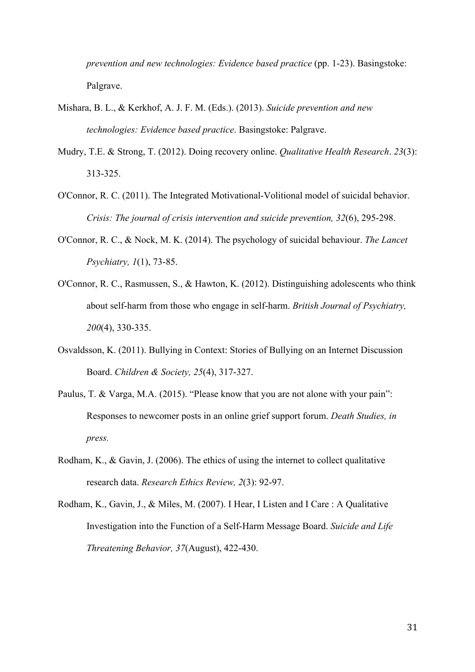*prevention and new technologies: Evidence based practice* (pp. 1-23). Basingstoke: Palgrave.

- Mishara, B. L., & Kerkhof, A. J. F. M. (Eds.). (2013). *Suicide prevention and new technologies: Evidence based practice*. Basingstoke: Palgrave.
- Mudry, T.E. & Strong, T. (2012). Doing recovery online. *Qualitative Health Research*. *23*(3): 313-325.
- O'Connor, R. C. (2011). The Integrated Motivational-Volitional model of suicidal behavior. *Crisis: The journal of crisis intervention and suicide prevention, 32*(6), 295-298.
- O'Connor, R. C., & Nock, M. K. (2014). The psychology of suicidal behaviour. *The Lancet Psychiatry, 1*(1), 73-85.
- O'Connor, R. C., Rasmussen, S., & Hawton, K. (2012). Distinguishing adolescents who think about self-harm from those who engage in self-harm. *British Journal of Psychiatry, 200*(4), 330-335.
- Osvaldsson, K. (2011). Bullying in Context: Stories of Bullying on an Internet Discussion Board. *Children & Society, 25*(4), 317-327.
- Paulus, T. & Varga, M.A. (2015). "Please know that you are not alone with your pain": Responses to newcomer posts in an online grief support forum. *Death Studies, in press.*
- Rodham, K., & Gavin, J. (2006). The ethics of using the internet to collect qualitative research data. *Research Ethics Review, 2*(3): 92-97.
- Rodham, K., Gavin, J., & Miles, M. (2007). I Hear, I Listen and I Care : A Qualitative Investigation into the Function of a Self-Harm Message Board. *Suicide and Life Threatening Behavior, 37*(August), 422-430.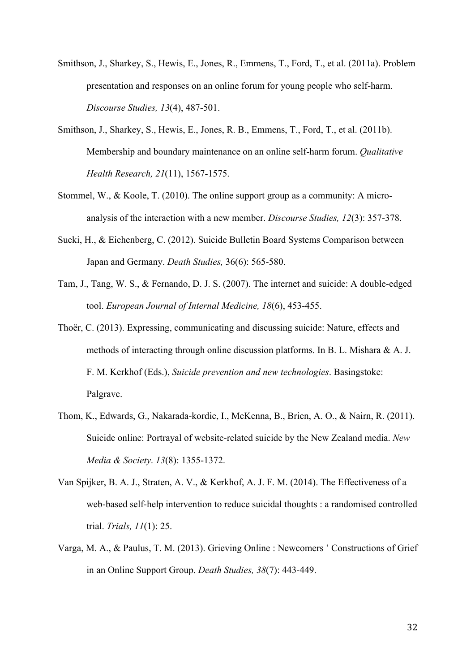- Smithson, J., Sharkey, S., Hewis, E., Jones, R., Emmens, T., Ford, T., et al. (2011a). Problem presentation and responses on an online forum for young people who self-harm. *Discourse Studies, 13*(4), 487-501.
- Smithson, J., Sharkey, S., Hewis, E., Jones, R. B., Emmens, T., Ford, T., et al. (2011b). Membership and boundary maintenance on an online self-harm forum. *Qualitative Health Research, 21*(11), 1567-1575.
- Stommel, W., & Koole, T. (2010). The online support group as a community: A microanalysis of the interaction with a new member. *Discourse Studies, 12*(3): 357-378.
- Sueki, H., & Eichenberg, C. (2012). Suicide Bulletin Board Systems Comparison between Japan and Germany. *Death Studies,* 36(6): 565-580.
- Tam, J., Tang, W. S., & Fernando, D. J. S. (2007). The internet and suicide: A double-edged tool. *European Journal of Internal Medicine, 18*(6), 453-455.
- Thoër, C. (2013). Expressing, communicating and discussing suicide: Nature, effects and methods of interacting through online discussion platforms. In B. L. Mishara & A. J. F. M. Kerkhof (Eds.), *Suicide prevention and new technologies*. Basingstoke: Palgrave.
- Thom, K., Edwards, G., Nakarada-kordic, I., McKenna, B., Brien, A. O., & Nairn, R. (2011). Suicide online: Portrayal of website-related suicide by the New Zealand media. *New Media & Society*. *13*(8): 1355-1372.
- Van Spijker, B. A. J., Straten, A. V., & Kerkhof, A. J. F. M. (2014). The Effectiveness of a web-based self-help intervention to reduce suicidal thoughts : a randomised controlled trial. *Trials, 11*(1): 25.
- Varga, M. A., & Paulus, T. M. (2013). Grieving Online : Newcomers ' Constructions of Grief in an Online Support Group. *Death Studies, 38*(7): 443-449.